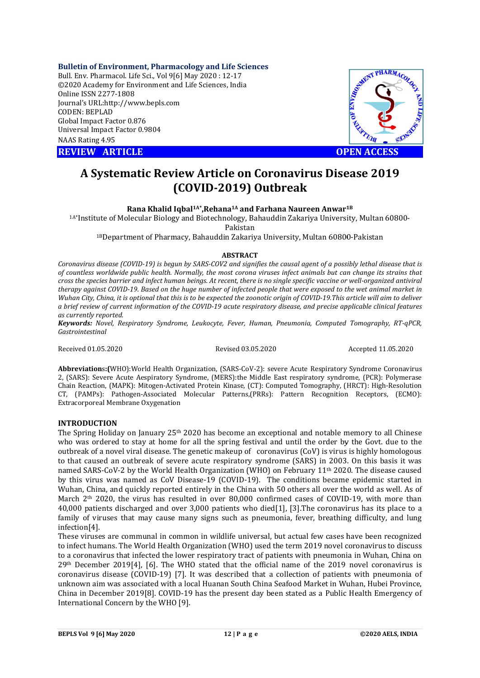## **Bulletin of Environment, Pharmacology and Life Sciences**

Bull. Env. Pharmacol. Life Sci., Vol 9[ [6] May 2020 : 12-17 ©2020 Academy for Environment and Life Sciences, India Online ISSN 2277-1808 Journal's URL:http://www.bepls.com CODEN: BEPLAD Global Impact Factor 0.876 Universal Impact Factor 0.9804 NAAS Rating 4.95

**REVIEW ARTICLE** 



# **A Systematic Review Article on Coronavirus Disease 2019**<br>**(COVID-2019) Outbreak**<br>Rana Khalid Ighal<sup>1A\*</sup> Rehana<sup>1A</sup> and Farhana Naureen Anwar<sup>1B</sup> **(COVID (COVID-2019) Outbreak**

**Rana Khalid Iqbal Iqbal1A\*,Rehana1A and Farhana Naureen Anwar1B**

<sup>1A\*</sup>Institute of Molecular Biology and Biotechnology, Bahauddin Zakariya University, Multan 60800-<br>Pakistan

<sup>1B</sup>Department of Pharmacy, Bahauddin Zakariya University, Multan 60800-Pakistan

## **ABSTRACT**

Coronavirus disease (COVID-19) is begun by SARS-COV2 and signifies the causal agent of a possibly lethal disease that is *of countless worldwide public health. Normally, the most corona viruses infect animals but can change its strains that cross the species barrier and infect human beings. At recent, there is no single speci s specific vaccine or well therapy against COVID-19. Based on the huge number of infected people that were exposed to the wet animal market in*  therapy against COVID-19. Based on the huge number of infected people that were exposed to the wet animal market in<br>Wuhan City, China, it is optional that this is to be expected the zoonotic origin of COVID-19.This article a brief review of current information of the COVID-19 acute respiratory disease, and precise applicable clinical features *as currently reported.* a brief review of current information of the COVID-19 acute respiratory disease, and precise applicable clinical features<br>as currently reported.<br>**Keywords:** Novel, Respiratory Syndrome, Leukocyte, Fever, Human, Pneumonia, ronavirus disease (COVID-19) is begun by SARS-COV2 and signifies the causal agent of a possibly lethal disease that is<br>countless worldwide public health. Normally, the most corona viruses infect animals but can change its

*Gastrointestinal*

Received 01.05.2020

Revised 03.05.2020

Accepted 11.05.2020

Abbreviations: (WHO): World Health Organization, (SARS-CoV-2): severe Acute Respiratory Syndrome Coronavirus 2, (SARS): Severe Acute Aespiratory Syndrome, (MERS):the Middle East respiratory syndrome, (PCR): Polymerase **Abbreviation**s:(WHO):World Health Organization, (SARS-CoV-2): severe Acute Respiratory Syndrome Coronavirus<br>2, (SARS): Severe Acute Aespiratory Syndrome, (MERS):the Middle East respiratory syndrome, (PCR): Polymerase<br>Chai CT, (PAMPs): Pathogen-Associated Molecular Patterns,(PRRs): Pattern Recognition Receptors, (ECMO): Extracorporeal Membrane Oxygenation K): Mitogen-Activated Protein Kinase, (CT): Computed Tomography, (HRCT): High-Resolution<br>gen-Associated Molecular Patterns,(PRRs): Pattern Recognition Receptors, (ECMO):<br>ane Oxygenation<br>on January 25<sup>th</sup> 2020 has become an

## **INTRODUCTION**

The Spring Holiday on January  $25<sup>th</sup> 2020$  has become an exceptional and notable memory to all Chinese who was ordered to stay at home for all the spring festival and until the order by the Govt. due to the outbreak of a novel viral disease. The genetic makeup of coronavirus (CoV) is virus is highly homologous to that caused an outbreak of severe acute respiratory syndrome (SARS) in 2003. On this basis it was outbreak of a novel viral disease. The genetic makeup of coronavirus (CoV) is virus is highly homologous<br>to that caused an outbreak of severe acute respiratory syndrome (SARS) in 2003. On this basis it was<br>named SARS-CoV-2 by this virus was named as CoV Disease-19 (COVID-19). The conditions became epidemic started in Wuhan, China, and quickly reported entirely in the China with 50 others all over the world as well. As of March  $2<sup>th</sup>$  2020, the virus has resulted in over 80,000 confirmed cases of COVID-19, with more than 40,000 patients discharged and over 3,000 patients who died died[1], [3].The coronavirus has its place to a family of viruses that may cause many signs such as pneumonia, fever, breathing difficulty, and lung infection[4]. (PAMPs): Pathogen-Associated Molecular Patterns,(PRRs): Pattern Recognition Receptors, (ECMO):<br>racorporeal Membrane Oxygenation<br>**FRODUCTION**<br>**Example 10** System and System and System and notable memory to all Chinese<br>o wa

These viruses are communal in common in wildlife universal, but actual few cases have been recognized to infect humans. The World Health Organization (WHO) used the term 2019 novel coronavirus to discuss 40,000 patients discharged and over 3,000 patients who died[1], [3].The coronavirus has its place to a family of viruses that may cause many signs such as pneumonia, fever, breathing difficulty, and lung infection[4].<br>Thes 29th December 2019[4], [6]. The WHO stated that the official name of the 2019 novel coronavirus is 29<sup>th</sup> December 2019[4], [6]. The WHO stated that the official name of the 2019 novel coronavirus is coronavirus is coronavirus disease (COVID-19) [7]. It was described that a collection of patients with pneumonia of unknown aim was associated with a local Huanan South China Seafood Market in Wuhan, Hubei Province, China in December 2019[8]. COVID-19 has the present day been stated as a Public Health Emergency of International Concern by the WHO [9]. The stated that the official name of the 2019 novel coronavirus is<br>1. It was described that a collection of patients with pneumonia of<br>10 local Huanan South China Seafood Market in Wuhan, Hubei Province,<br>19 has the present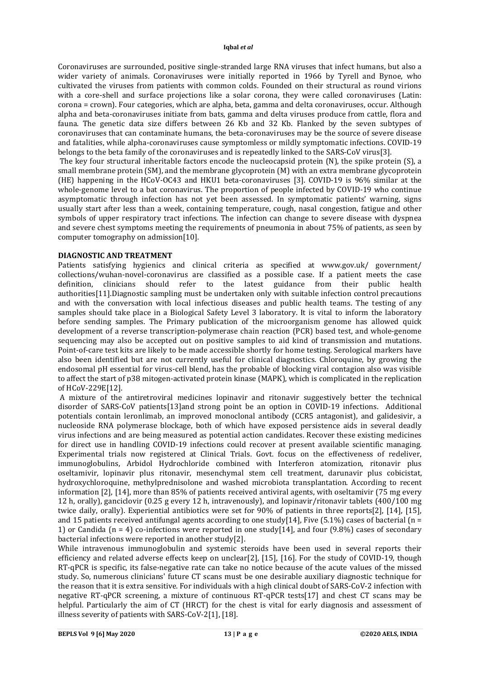Coronaviruses are surrounded, positive single-stranded large RNA viruses that infect humans, but also a wider variety of animals. Coronaviruses were initially reported in 1966 by Tyrell and Bynoe, who cultivated the viruses from patients with common colds. Founded on their structural as round virions with a core-shell and surface projections like a solar corona, they were called coronaviruses (Latin: corona = crown). Four categories, which are alpha, beta, gamma and delta coronaviruses, occur. Although alpha and beta-coronaviruses initiate from bats, gamma and delta viruses produce from cattle, flora and fauna. The genetic data size differs between 26 Kb and 32 Kb. Flanked by the seven subtypes of coronaviruses that can contaminate humans, the beta-coronaviruses may be the source of severe disease and fatalities, while alpha-coronaviruses cause symptomless or mildly symptomatic infections. COVID-19 belongs to the beta family of the coronaviruses and is repeatedly linked to the SARS-CoV virus[3].

The key four structural inheritable factors encode the nucleocapsid protein (N), the spike protein (S), a small membrane protein (SM), and the membrane glycoprotein (M) with an extra membrane glycoprotein (HE) happening in the HCoV-OC43 and HKU1 beta-coronaviruses [3]. COVID-19 is 96% similar at the whole-genome level to a bat coronavirus. The proportion of people infected by COVID-19 who continue asymptomatic through infection has not yet been assessed. In symptomatic patients' warning, signs usually start after less than a week, containing temperature, cough, nasal congestion, fatigue and other symbols of upper respiratory tract infections. The infection can change to severe disease with dyspnea and severe chest symptoms meeting the requirements of pneumonia in about 75% of patients, as seen by computer tomography on admission[10].

# **DIAGNOSTIC AND TREATMENT**

Patients satisfying hygienics and clinical criteria as specified at www.gov.uk/ government/ collections/wuhan-novel-coronavirus are classified as a possible case. If a patient meets the case definition, clinicians should refer to the latest guidance from their public health authorities[11].Diagnostic sampling must be undertaken only with suitable infection control precautions and with the conversation with local infectious diseases and public health teams. The testing of any samples should take place in a Biological Safety Level 3 laboratory. It is vital to inform the laboratory before sending samples. The Primary publication of the microorganism genome has allowed quick development of a reverse transcription-polymerase chain reaction (PCR) based test, and whole-genome sequencing may also be accepted out on positive samples to aid kind of transmission and mutations. Point-of-care test kits are likely to be made accessible shortly for home testing. Serological markers have also been identified but are not currently useful for clinical diagnostics. Chloroquine, by growing the endosomal pH essential for virus-cell blend, has the probable of blocking viral contagion also was visible to affect the start of p38 mitogen-activated protein kinase (MAPK), which is complicated in the replication of HCoV-229E[12].

A mixture of the antiretroviral medicines lopinavir and ritonavir suggestively better the technical disorder of SARS-CoV patients[13]and strong point be an option in COVID-19 infections. Additional potentials contain leronlimab, an improved monoclonal antibody (CCR5 antagonist), and galidesivir, a nucleoside RNA polymerase blockage, both of which have exposed persistence aids in several deadly virus infections and are being measured as potential action candidates. Recover these existing medicines for direct use in handling COVID-19 infections could recover at present available scientific managing. Experimental trials now registered at Clinical Trials. Govt. focus on the effectiveness of redeliver, immunoglobulins, Arbidol Hydrochloride combined with Interferon atomization, ritonavir plus oseltamivir, lopinavir plus ritonavir, mesenchymal stem cell treatment, darunavir plus cobicistat, hydroxychloroquine, methylprednisolone and washed microbiota transplantation. According to recent information [2], [14], more than 85% of patients received antiviral agents, with oseltamivir (75 mg every 12 h, orally), ganciclovir (0.25 g every 12 h, intravenously), and lopinavir/ritonavir tablets (400/100 mg twice daily, orally). Experiential antibiotics were set for 90% of patients in three reports[2], [14], [15], and 15 patients received antifungal agents according to one study[14], Five (5.1%) cases of bacterial (n = 1) or Candida ( $n = 4$ ) co-infections were reported in one study [14], and four (9.8%) cases of secondary bacterial infections were reported in another study[2].

While intravenous immunoglobulin and systemic steroids have been used in several reports their efficiency and related adverse effects keep on unclear[2], [15], [16]. For the study of COVID-19, though RT-qPCR is specific, its false-negative rate can take no notice because of the acute values of the missed study. So, numerous clinicians' future CT scans must be one desirable auxiliary diagnostic technique for the reason that it is extra sensitive. For individuals with a high clinical doubt of SARS-CoV-2 infection with negative RT-qPCR screening, a mixture of continuous RT-qPCR tests[17] and chest CT scans may be helpful. Particularly the aim of CT (HRCT) for the chest is vital for early diagnosis and assessment of illness severity of patients with SARS-CoV-2[1], [18].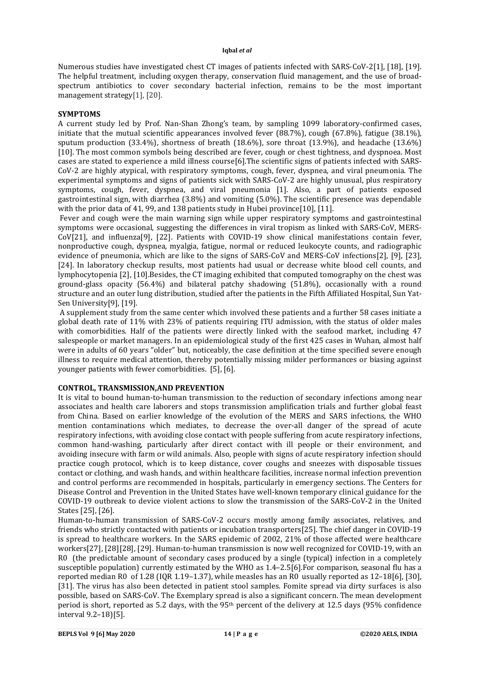Numerous studies have investigated chest CT images of patients infected with SARS-CoV-2[1], [18], [19]. The helpful treatment, including oxygen therapy, conservation fluid management, and the use of broadspectrum antibiotics to cover secondary bacterial infection, remains to be the most important management strategy[1], [20].

# **SYMPTOMS**

A current study led by Prof. Nan-Shan Zhong's team, by sampling 1099 laboratory-confirmed cases, initiate that the mutual scientific appearances involved fever (88.7%), cough (67.8%), fatigue (38.1%), sputum production (33.4%), shortness of breath (18.6%), sore throat (13.9%), and headache (13.6%) [10]. The most common symbols being described are fever, cough or chest tightness, and dyspnoea. Most cases are stated to experience a mild illness course[6].The scientific signs of patients infected with SARS-CoV-2 are highly atypical, with respiratory symptoms, cough, fever, dyspnea, and viral pneumonia. The experimental symptoms and signs of patients sick with SARS-CoV-2 are highly unusual, plus respiratory symptoms, cough, fever, dyspnea, and viral pneumonia [1]. Also, a part of patients exposed gastrointestinal sign, with diarrhea (3.8%) and vomiting (5.0%). The scientific presence was dependable with the prior data of 41, 99, and 138 patients study in Hubei province [10], [11].

Fever and cough were the main warning sign while upper respiratory symptoms and gastrointestinal symptoms were occasional, suggesting the differences in viral tropism as linked with SARS-CoV, MERS-CoV[21], and influenza[9], [22]. Patients with COVID-19 show clinical manifestations contain fever, nonproductive cough, dyspnea, myalgia, fatigue, normal or reduced leukocyte counts, and radiographic evidence of pneumonia, which are like to the signs of SARS-CoV and MERS-CoV infections[2], [9], [23], [24]. In laboratory checkup results, most patients had usual or decrease white blood cell counts, and lymphocytopenia [2], [10].Besides, the CT imaging exhibited that computed tomography on the chest was ground-glass opacity (56.4%) and bilateral patchy shadowing (51.8%), occasionally with a round structure and an outer lung distribution, studied after the patients in the Fifth Affiliated Hospital, Sun Yat-Sen University[9], [19].

A supplement study from the same center which involved these patients and a further 58 cases initiate a global death rate of 11% with 23% of patients requiring ITU admission, with the status of older males with comorbidities. Half of the patients were directly linked with the seafood market, including 47 salespeople or market managers. In an epidemiological study of the first 425 cases in Wuhan, almost half were in adults of 60 years "older" but, noticeably, the case definition at the time specified severe enough illness to require medical attention, thereby potentially missing milder performances or biasing against younger patients with fewer comorbidities. [5], [6].

# **CONTROL, TRANSMISSION,AND PREVENTION**

It is vital to bound human-to-human transmission to the reduction of secondary infections among near associates and health care laborers and stops transmission amplification trials and further global feast from China. Based on earlier knowledge of the evolution of the MERS and SARS infections, the WHO mention contaminations which mediates, to decrease the over-all danger of the spread of acute respiratory infections, with avoiding close contact with people suffering from acute respiratory infections, common hand-washing, particularly after direct contact with ill people or their environment, and avoiding insecure with farm or wild animals. Also, people with signs of acute respiratory infection should practice cough protocol, which is to keep distance, cover coughs and sneezes with disposable tissues contact or clothing, and wash hands, and within healthcare facilities, increase normal infection prevention and control performs are recommended in hospitals, particularly in emergency sections. The Centers for Disease Control and Prevention in the United States have well-known temporary clinical guidance for the COVID-19 outbreak to device violent actions to slow the transmission of the SARS-CoV-2 in the United States [25], [26].

Human-to-human transmission of SARS-CoV-2 occurs mostly among family associates, relatives, and friends who strictly contacted with patients or incubation transporters[25]. The chief danger in COVID-19 is spread to healthcare workers. In the SARS epidemic of 2002, 21% of those affected were healthcare workers[27], [28][28], [29]. Human-to-human transmission is now well recognized for COVID-19, with an R0 (the predictable amount of secondary cases produced by a single (typical) infection in a completely susceptible population) currently estimated by the WHO as 1.4–2.5[6].For comparison, seasonal flu has a reported median R0 of 1.28 (IQR 1.19–1.37), while measles has an R0 usually reported as 12–18[6], [30], [31]. The virus has also been detected in patient stool samples. Fomite spread via dirty surfaces is also possible, based on SARS-CoV. The Exemplary spread is also a significant concern. The mean development period is short, reported as 5.2 days, with the 95th percent of the delivery at 12.5 days (95% confidence interval 9.2–18)[5].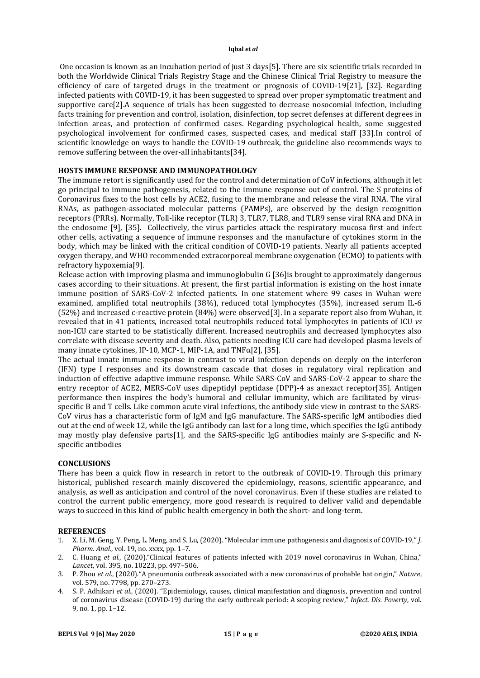One occasion is known as an incubation period of just 3 days[5]. There are six scientific trials recorded in both the Worldwide Clinical Trials Registry Stage and the Chinese Clinical Trial Registry to measure the efficiency of care of targeted drugs in the treatment or prognosis of COVID-19[21], [32]. Regarding infected patients with COVID-19, it has been suggested to spread over proper symptomatic treatment and supportive care[2].A sequence of trials has been suggested to decrease nosocomial infection, including facts training for prevention and control, isolation, disinfection, top secret defenses at different degrees in infection areas, and protection of confirmed cases. Regarding psychological health, some suggested psychological involvement for confirmed cases, suspected cases, and medical staff [33].In control of scientific knowledge on ways to handle the COVID-19 outbreak, the guideline also recommends ways to remove suffering between the over-all inhabitants[34].

# **HOSTS IMMUNE RESPONSE AND IMMUNOPATHOLOGY**

The immune retort is significantly used for the control and determination of CoV infections, although it let go principal to immune pathogenesis, related to the immune response out of control. The S proteins of Coronavirus fixes to the host cells by ACE2, fusing to the membrane and release the viral RNA. The viral RNAs, as pathogen-associated molecular patterns (PAMPs), are observed by the design recognition receptors (PRRs). Normally, Toll-like receptor (TLR) 3, TLR7, TLR8, and TLR9 sense viral RNA and DNA in the endosome [9], [35]. Collectively, the virus particles attack the respiratory mucosa first and infect other cells, activating a sequence of immune responses and the manufacture of cytokines storm in the body, which may be linked with the critical condition of COVID-19 patients. Nearly all patients accepted oxygen therapy, and WHO recommended extracorporeal membrane oxygenation (ECMO) to patients with refractory hypoxemia[9].

Release action with improving plasma and immunoglobulin G [36]is brought to approximately dangerous cases according to their situations. At present, the first partial information is existing on the host innate immune position of SARS-CoV-2 infected patients. In one statement where 99 cases in Wuhan were examined, amplified total neutrophils (38%), reduced total lymphocytes (35%), increased serum IL-6 (52%) and increased c-reactive protein (84%) were observed[3]. In a separate report also from Wuhan, it revealed that in 41 patients, increased total neutrophils reduced total lymphocytes in patients of ICU *vs* non-ICU care started to be statistically different. Increased neutrophils and decreased lymphocytes also correlate with disease severity and death. Also, patients needing ICU care had developed plasma levels of many innate cytokines, IP-10, MCP-1, MIP-1A, and TNFα[2], [35].

The actual innate immune response in contrast to viral infection depends on deeply on the interferon (IFN) type I responses and its downstream cascade that closes in regulatory viral replication and induction of effective adaptive immune response. While SARS-CoV and SARS-CoV-2 appear to share the entry receptor of ACE2, MERS-CoV uses dipeptidyl peptidase (DPP)-4 as anexact receptor[35]. Antigen performance then inspires the body's humoral and cellular immunity, which are facilitated by virusspecific B and T cells. Like common acute viral infections, the antibody side view in contrast to the SARS-CoV virus has a characteristic form of IgM and IgG manufacture. The SARS-specific IgM antibodies died out at the end of week 12, while the IgG antibody can last for a long time, which specifies the IgG antibody may mostly play defensive parts[1], and the SARS-specific IgG antibodies mainly are S-specific and Nspecific antibodies

## **CONCLUSIONS**

There has been a quick flow in research in retort to the outbreak of COVID-19. Through this primary historical, published research mainly discovered the epidemiology, reasons, scientific appearance, and analysis, as well as anticipation and control of the novel coronavirus. Even if these studies are related to control the current public emergency, more good research is required to deliver valid and dependable ways to succeed in this kind of public health emergency in both the short- and long-term.

# **REFERENCES**

- 1. X. Li, M. Geng, Y. Peng, L. Meng, and S. Lu, (2020). "Molecular immune pathogenesis and diagnosis of COVID-19," *J. Pharm. Anal.*, vol. 19, no. xxxx, pp. 1–7.
- 2. C. Huang *et al.*, (2020)."Clinical features of patients infected with 2019 novel coronavirus in Wuhan, China," *Lancet*, vol. 395, no. 10223, pp. 497–506.
- 3. P. Zhou *et al.*, (2020)."A pneumonia outbreak associated with a new coronavirus of probable bat origin," *Nature*, vol. 579, no. 7798, pp. 270–273.
- 4. S. P. Adhikari *et al.*, (2020). "Epidemiology, causes, clinical manifestation and diagnosis, prevention and control of coronavirus disease (COVID-19) during the early outbreak period: A scoping review," *Infect. Dis. Poverty*, vol. 9, no. 1, pp. 1–12.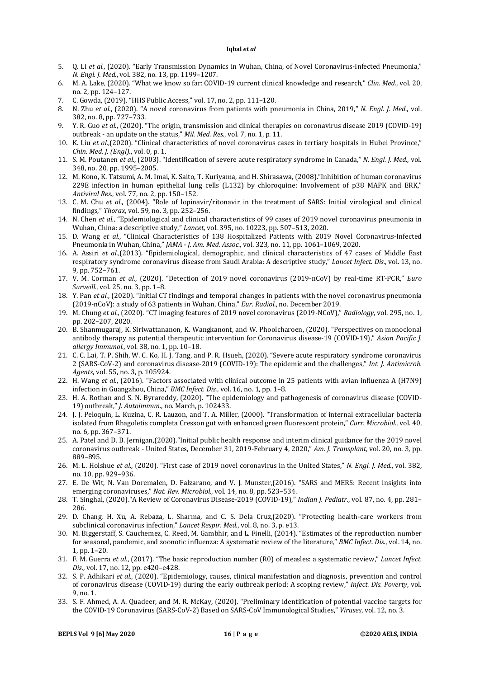- 5. Q. Li *et al.*, (2020). "Early Transmission Dynamics in Wuhan, China, of Novel Coronavirus-Infected Pneumonia," *N. Engl. J. Med.*, vol. 382, no. 13, pp. 1199–1207.
- 6. M. A. Lake, (2020). "What we know so far: COVID-19 current clinical knowledge and research," *Clin. Med.*, vol. 20, no. 2, pp. 124–127.
- 7. C. Gowda, (2019). "HHS Public Access," vol. 17, no. 2, pp. 111–120.
- 8. N. Zhu *et al.*, (2020). "A novel coronavirus from patients with pneumonia in China, 2019," *N. Engl. J. Med.*, vol. 382, no. 8, pp. 727–733.
- 9. Y. R. Guo *et al.*, (2020). "The origin, transmission and clinical therapies on coronavirus disease 2019 (COVID-19) outbreak - an update on the status," *Mil. Med. Res.*, vol. 7, no. 1, p. 11.
- 10. K. Liu *et al.*,(2020). "Clinical characteristics of novel coronavirus cases in tertiary hospitals in Hubei Province," *Chin. Med. J. (Engl).*, vol. 0, p. 1.
- 11. S. M. Poutanen *et al.*, (2003). "Identification of severe acute respiratory syndrome in Canada," *N. Engl. J. Med.*, vol. 348, no. 20, pp. 1995–2005.
- 12. M. Kono, K. Tatsumi, A. M. Imai, K. Saito, T. Kuriyama, and H. Shirasawa, (2008)."Inhibition of human coronavirus 229E infection in human epithelial lung cells (L132) by chloroquine: Involvement of p38 MAPK and ERK," *Antiviral Res.*, vol. 77, no. 2, pp. 150–152.
- 13. C. M. Chu *et al.*, (2004). "Role of lopinavir/ritonavir in the treatment of SARS: Initial virological and clinical findings," *Thorax*, vol. 59, no. 3, pp. 252–256.
- 14. N. Chen *et al.*, "Epidemiological and clinical characteristics of 99 cases of 2019 novel coronavirus pneumonia in Wuhan, China: a descriptive study," *Lancet*, vol. 395, no. 10223, pp. 507–513, 2020.
- 15. D. Wang *et al.*, "Clinical Characteristics of 138 Hospitalized Patients with 2019 Novel Coronavirus-Infected Pneumonia in Wuhan, China," *JAMA - J. Am. Med. Assoc.*, vol. 323, no. 11, pp. 1061–1069, 2020.
- 16. A. Assiri *et al.*,(2013). "Epidemiological, demographic, and clinical characteristics of 47 cases of Middle East respiratory syndrome coronavirus disease from Saudi Arabia: A descriptive study," *Lancet Infect. Dis.*, vol. 13, no. 9, pp. 752–761.
- 17. V. M. Corman *et al.*, (2020). "Detection of 2019 novel coronavirus (2019-nCoV) by real-time RT-PCR," *Euro Surveill.*, vol. 25, no. 3, pp. 1–8.
- 18. Y. Pan *et al.*, (2020). "Initial CT findings and temporal changes in patients with the novel coronavirus pneumonia (2019-nCoV): a study of 63 patients in Wuhan, China," *Eur. Radiol.*, no. December 2019.
- 19. M. Chung *et al.*, (2020). "CT imaging features of 2019 novel coronavirus (2019-NCoV)," *Radiology*, vol. 295, no. 1, pp. 202–207, 2020.
- 20. B. Shanmugaraj, K. Siriwattananon, K. Wangkanont, and W. Phoolcharoen, (2020). "Perspectives on monoclonal antibody therapy as potential therapeutic intervention for Coronavirus disease-19 (COVID-19)," *Asian Pacific J. allergy Immunol.*, vol. 38, no. 1, pp. 10–18.
- 21. C. C. Lai, T. P. Shih, W. C. Ko, H. J. Tang, and P. R. Hsueh, (2020). "Severe acute respiratory syndrome coronavirus 2 (SARS-CoV-2) and coronavirus disease-2019 (COVID-19): The epidemic and the challenges," *Int. J. Antimicrob. Agents*, vol. 55, no. 3, p. 105924.
- 22. H. Wang *et al.*, (2016). "Factors associated with clinical outcome in 25 patients with avian influenza A (H7N9) infection in Guangzhou, China," *BMC Infect. Dis.*, vol. 16, no. 1, pp. 1–8.
- 23. H. A. Rothan and S. N. Byrareddy, (2020). "The epidemiology and pathogenesis of coronavirus disease (COVID-19) outbreak," *J. Autoimmun.*, no. March, p. 102433.
- 24. J. J. Peloquin, L. Kuzina, C. R. Lauzon, and T. A. Miller, (2000). "Transformation of internal extracellular bacteria isolated from Rhagoletis completa Cresson gut with enhanced green fluorescent protein," *Curr. Microbiol.*, vol. 40, no. 6, pp. 367–371.
- 25. A. Patel and D. B. Jernigan,(2020)."Initial public health response and interim clinical guidance for the 2019 novel coronavirus outbreak - United States, December 31, 2019-February 4, 2020," *Am. J. Transplant*, vol. 20, no. 3, pp. 889–895.
- 26. M. L. Holshue *et al.*, (2020). "First case of 2019 novel coronavirus in the United States," *N. Engl. J. Med.*, vol. 382, no. 10, pp. 929–936.
- 27. E. De Wit, N. Van Doremalen, D. Falzarano, and V. J. Munster,(2016). "SARS and MERS: Recent insights into emerging coronaviruses," *Nat. Rev. Microbiol.*, vol. 14, no. 8, pp. 523–534.
- 28. T. Singhal, (2020)."A Review of Coronavirus Disease-2019 (COVID-19)," *Indian J. Pediatr.*, vol. 87, no. 4, pp. 281– 286.
- 29. D. Chang, H. Xu, A. Rebaza, L. Sharma, and C. S. Dela Cruz,(2020). "Protecting health-care workers from subclinical coronavirus infection," *Lancet Respir. Med.*, vol. 8, no. 3, p. e13.
- 30. M. Biggerstaff, S. Cauchemez, C. Reed, M. Gambhir, and L. Finelli, (2014). "Estimates of the reproduction number for seasonal, pandemic, and zoonotic influenza: A systematic review of the literature," *BMC Infect. Dis.*, vol. 14, no. 1, pp. 1–20.
- 31. F. M. Guerra *et al.*, (2017). "The basic reproduction number (R0) of measles: a systematic review," *Lancet Infect. Dis.*, vol. 17, no. 12, pp. e420–e428.
- 32. S. P. Adhikari *et al.*, (2020). "Epidemiology, causes, clinical manifestation and diagnosis, prevention and control of coronavirus disease (COVID-19) during the early outbreak period: A scoping review," *Infect. Dis. Poverty*, vol. 9, no. 1.
- 33. S. F. Ahmed, A. A. Quadeer, and M. R. McKay, (2020). "Preliminary identification of potential vaccine targets for the COVID-19 Coronavirus (SARS-CoV-2) Based on SARS-CoV Immunological Studies," *Viruses*, vol. 12, no. 3.